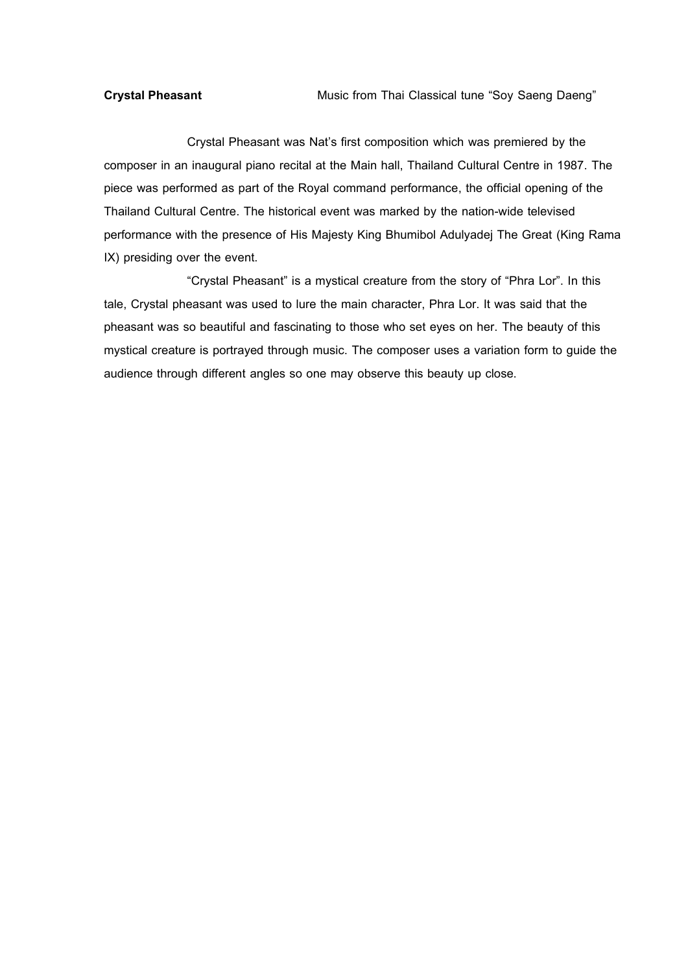**Crystal Pheasant Music from Thai Classical tune "Soy Saeng Daeng"** 

Crystal Pheasant was Nat's first composition which was premiered by the composer in an inaugural piano recital at the Main hall, Thailand Cultural Centre in 1987. The piece was performed as part of the Royal command performance, the official opening of the Thailand Cultural Centre. The historical event was marked by the nation-wide televised performance with the presence of His Majesty King Bhumibol Adulyadej The Great (King Rama IX) presiding over the event.

"Crystal Pheasant" is a mystical creature from the story of "Phra Lor". In this tale, Crystal pheasant was used to lure the main character, Phra Lor. It was said that the pheasant was so beautiful and fascinating to those who set eyes on her. The beauty of this mystical creature is portrayed through music. The composer uses a variation form to guide the audience through different angles so one may observe this beauty up close.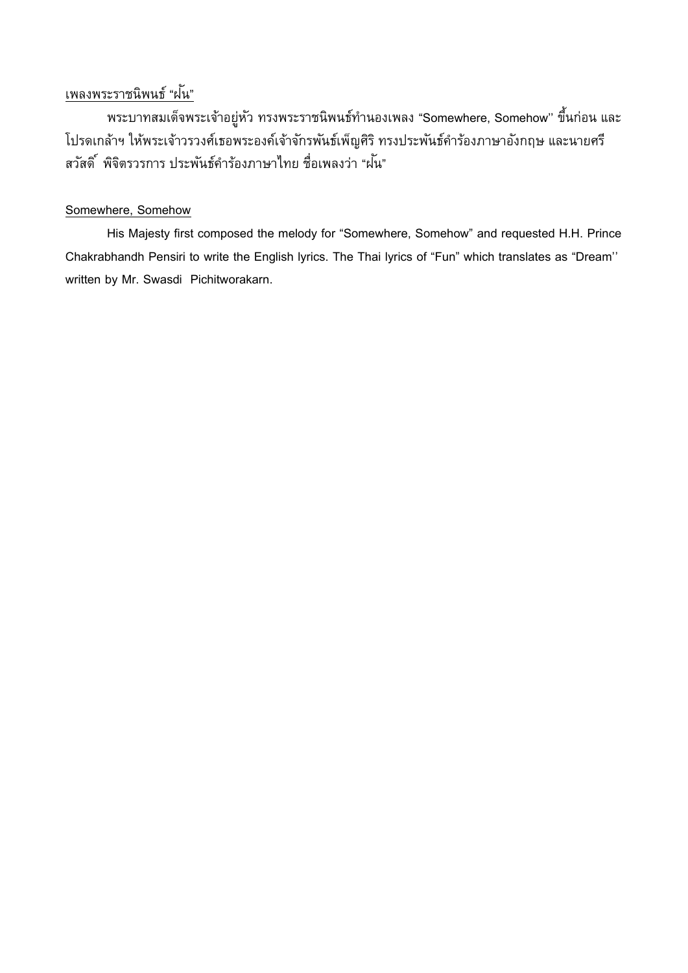# เพลงพระราชนิพนธ์ "ฝนั"

พระบาทสมเด็จพระเจ้าอยู่หัว ทรงพระราชนิพนธ์ทำนองเพลง "Somewhere, Somehow" ขึ้นก่อน และ โปรดเกล้าฯ ให้พระเจ้าวรวงศ์เธอพระองค์เจ้าจักรพันธ์เพ็ญศิริ ทรงประพันธ์คำร้องภาษาอังกฤษ และนายศรี สวัสดิ์ พิจิตรวรการ ประพันธ์คำร้องภาษาไทย ชื่อเพลงว่า "ฝนั"

## Somewhere, Somehow

His Majesty first composed the melody for "Somewhere, Somehow" and requested H.H. Prince Chakrabhandh Pensiri to write the English lyrics. The Thai lyrics of "Fun" which translates as "Dream'' written by Mr. Swasdi Pichitworakarn.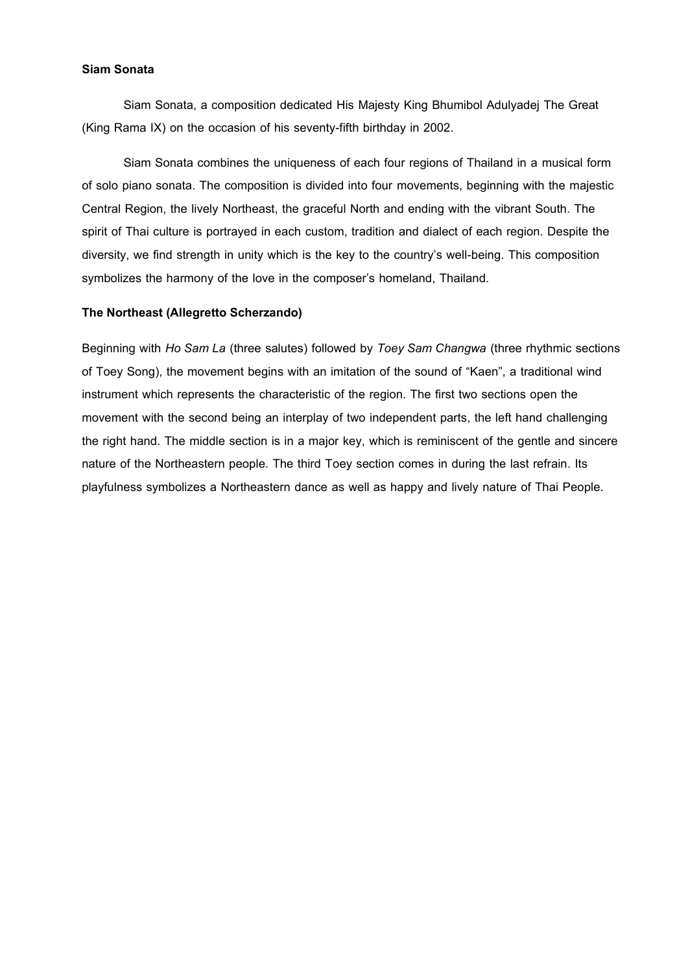#### **Siam Sonata**

Siam Sonata, a composition dedicated His Majesty King Bhumibol Adulyadej The Great (King Rama IX) on the occasion of his seventy-fifth birthday in 2002.

Siam Sonata combines the uniqueness of each four regions of Thailand in a musical form of solo piano sonata. The composition is divided into four movements, beginning with the majestic Central Region, the lively Northeast, the graceful North and ending with the vibrant South. The spirit of Thai culture is portrayed in each custom, tradition and dialect of each region. Despite the diversity, we find strength in unity which is the key to the country's well-being. This composition symbolizes the harmony of the love in the composer's homeland, Thailand.

#### **The Northeast (Allegretto Scherzando)**

Beginning with *Ho Sam La* (three salutes) followed by *Toey Sam Changwa* (three rhythmic sections of Toey Song), the movement begins with an imitation of the sound of "Kaen", a traditional wind instrument which represents the characteristic of the region. The first two sections open the movement with the second being an interplay of two independent parts, the left hand challenging the right hand. The middle section is in a major key, which is reminiscent of the gentle and sincere nature of the Northeastern people. The third Toey section comes in during the last refrain. Its playfulness symbolizes a Northeastern dance as well as happy and lively nature of Thai People.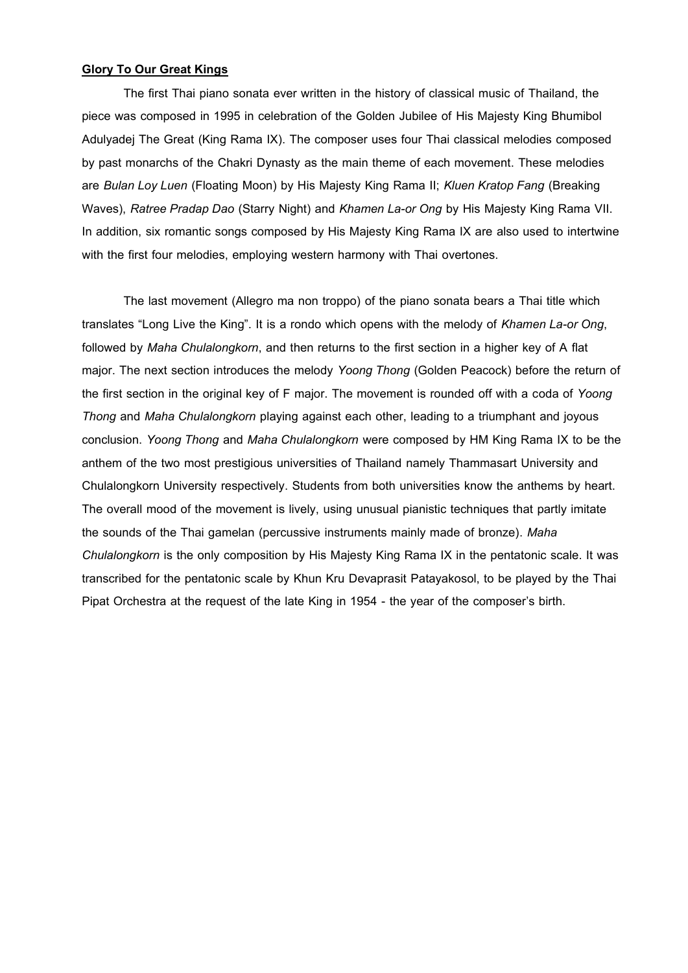### **Glory To Our Great Kings**

The first Thai piano sonata ever written in the history of classical music of Thailand, the piece was composed in 1995 in celebration of the Golden Jubilee of His Majesty King Bhumibol Adulyadej The Great (King Rama IX). The composer uses four Thai classical melodies composed by past monarchs of the Chakri Dynasty as the main theme of each movement. These melodies are *Bulan Loy Luen* (Floating Moon) by His Majesty King Rama II; *Kluen Kratop Fang* (Breaking Waves), *Ratree Pradap Dao* (Starry Night) and *Khamen La-or Ong* by His Majesty King Rama VII. In addition, six romantic songs composed by His Majesty King Rama IX are also used to intertwine with the first four melodies, employing western harmony with Thai overtones.

The last movement (Allegro ma non troppo) of the piano sonata bears a Thai title which translates "Long Live the King". It is a rondo which opens with the melody of *Khamen La-or Ong*, followed by *Maha Chulalongkorn*, and then returns to the first section in a higher key of A flat major. The next section introduces the melody *Yoong Thong* (Golden Peacock) before the return of the first section in the original key of F major. The movement is rounded off with a coda of *Yoong Thong* and *Maha Chulalongkorn* playing against each other, leading to a triumphant and joyous conclusion. *Yoong Thong* and *Maha Chulalongkorn* were composed by HM King Rama IX to be the anthem of the two most prestigious universities of Thailand namely Thammasart University and Chulalongkorn University respectively. Students from both universities know the anthems by heart. The overall mood of the movement is lively, using unusual pianistic techniques that partly imitate the sounds of the Thai gamelan (percussive instruments mainly made of bronze). *Maha Chulalongkorn* is the only composition by His Majesty King Rama IX in the pentatonic scale. It was transcribed for the pentatonic scale by Khun Kru Devaprasit Patayakosol, to be played by the Thai Pipat Orchestra at the request of the late King in 1954 - the year of the composer's birth.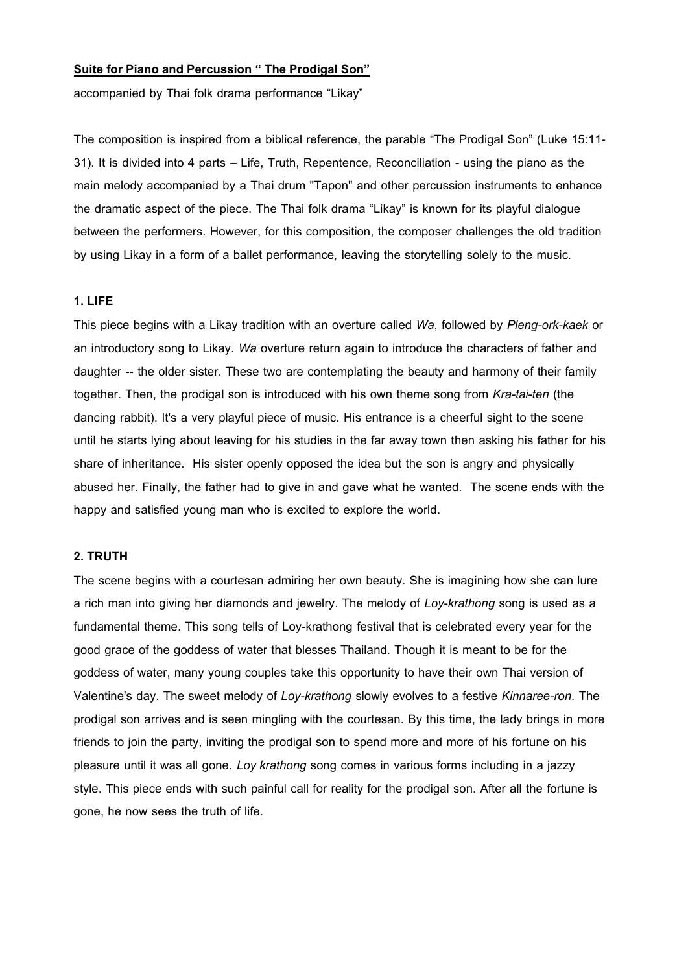#### **Suite for Piano and Percussion " The Prodigal Son"**

accompanied by Thai folk drama performance "Likay"

The composition is inspired from a biblical reference, the parable "The Prodigal Son" (Luke 15:11- 31). It is divided into 4 parts – Life, Truth, Repentence, Reconciliation - using the piano as the main melody accompanied by a Thai drum "Tapon" and other percussion instruments to enhance the dramatic aspect of the piece. The Thai folk drama "Likay" is known for its playful dialogue between the performers. However, for this composition, the composer challenges the old tradition by using Likay in a form of a ballet performance, leaving the storytelling solely to the music.

#### **1.LIFE**

This piece begins with a Likay tradition with an overture called *Wa*, followed by *Pleng-ork-kaek* or an introductory song to Likay. *Wa* overture return again to introduce the characters of father and daughter -- the older sister. These two are contemplating the beauty and harmony of their family together. Then, the prodigal son is introduced with his own theme song from *Kra-tai-ten* (the dancing rabbit). It's a very playful piece of music. His entrance is a cheerful sight to the scene until he starts lying about leaving for his studies in the far away town then asking his father for his share of inheritance. His sister openly opposed the idea but the son is angry and physically abused her. Finally, the father had to give in and gave what he wanted. The scene ends with the happy and satisfied young man who is excited to explore the world.

### **2.TRUTH**

The scene begins with a courtesan admiring her own beauty. She is imagining how she can lure a rich man into giving her diamonds and jewelry. The melody of *Loy-krathong* song is used as a fundamental theme. This song tells of Loy-krathong festival that is celebrated every year for the good grace of the goddess of water that blesses Thailand. Though it is meant to be for the goddess of water, many young couples take this opportunity to have their own Thai version of Valentine's day. The sweet melody of *Loy-krathong* slowly evolves to a festive *Kinnaree-ron*. The prodigal son arrives and is seen mingling with the courtesan. By this time, the lady brings in more friends to join the party, inviting the prodigal son to spend more and more of his fortune on his pleasure until it was all gone. *Loy krathong* song comes in various forms including in a jazzy style. This piece ends with such painful call for reality for the prodigal son. After all the fortune is gone, he now sees the truth of life.